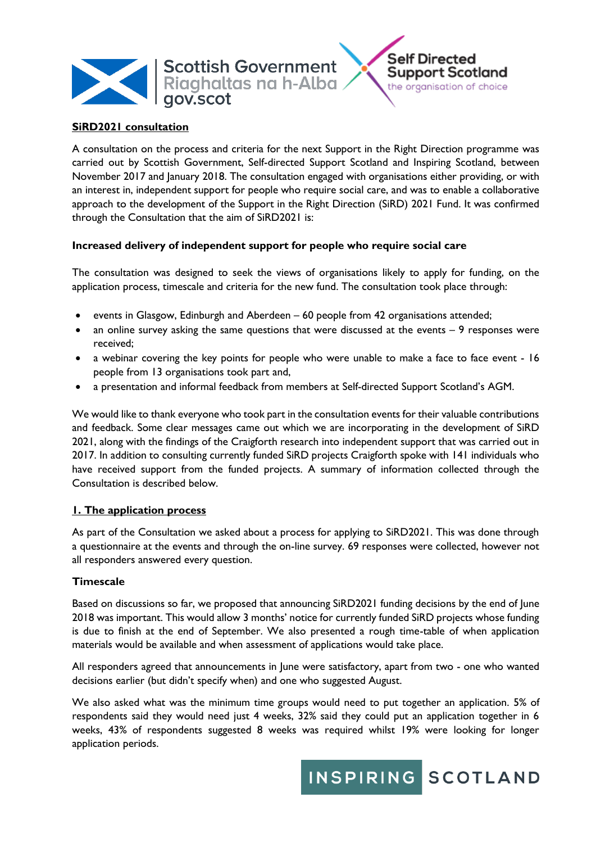

### **SiRD2021 consultation**

A consultation on the process and criteria for the next Support in the Right Direction programme was carried out by Scottish Government, Self-directed Support Scotland and Inspiring Scotland, between November 2017 and January 2018. The consultation engaged with organisations either providing, or with an interest in, independent support for people who require social care, and was to enable a collaborative approach to the development of the Support in the Right Direction (SiRD) 2021 Fund. It was confirmed through the Consultation that the aim of SiRD2021 is:

#### **Increased delivery of independent support for people who require social care**

The consultation was designed to seek the views of organisations likely to apply for funding, on the application process, timescale and criteria for the new fund. The consultation took place through:

- events in Glasgow, Edinburgh and Aberdeen 60 people from 42 organisations attended;
- an online survey asking the same questions that were discussed at the events 9 responses were received;
- a webinar covering the key points for people who were unable to make a face to face event 16 people from 13 organisations took part and,
- a presentation and informal feedback from members at Self-directed Support Scotland's AGM.

We would like to thank everyone who took part in the consultation events for their valuable contributions and feedback. Some clear messages came out which we are incorporating in the development of SiRD 2021, along with the findings of the Craigforth research into independent support that was carried out in 2017. In addition to consulting currently funded SiRD projects Craigforth spoke with 141 individuals who have received support from the funded projects. A summary of information collected through the Consultation is described below.

### **1. The application process**

As part of the Consultation we asked about a process for applying to SiRD2021. This was done through a questionnaire at the events and through the on-line survey. 69 responses were collected, however not all responders answered every question.

### **Timescale**

Based on discussions so far, we proposed that announcing SiRD2021 funding decisions by the end of June 2018 was important. This would allow 3 months' notice for currently funded SiRD projects whose funding is due to finish at the end of September. We also presented a rough time-table of when application materials would be available and when assessment of applications would take place.

All responders agreed that announcements in June were satisfactory, apart from two - one who wanted decisions earlier (but didn't specify when) and one who suggested August.

We also asked what was the minimum time groups would need to put together an application. 5% of respondents said they would need just 4 weeks, 32% said they could put an application together in 6 weeks, 43% of respondents suggested 8 weeks was required whilst 19% were looking for longer application periods.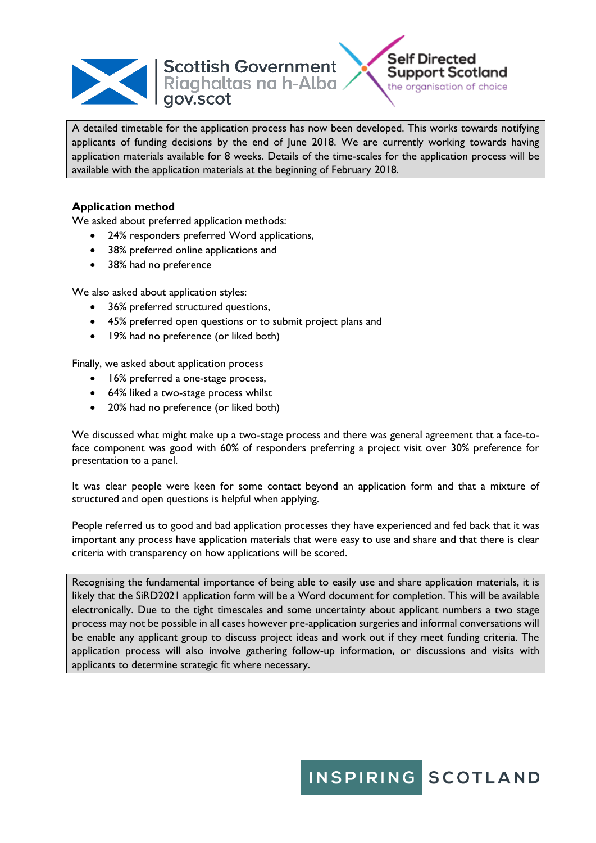



A detailed timetable for the application process has now been developed. This works towards notifying applicants of funding decisions by the end of June 2018. We are currently working towards having application materials available for 8 weeks. Details of the time-scales for the application process will be available with the application materials at the beginning of February 2018.

### **Application method**

We asked about preferred application methods:

- 24% responders preferred Word applications,
- 38% preferred online applications and
- 38% had no preference

We also asked about application styles:

- 36% preferred structured questions,
- 45% preferred open questions or to submit project plans and
- 19% had no preference (or liked both)

Finally, we asked about application process

- 16% preferred a one-stage process,
- 64% liked a two-stage process whilst
- 20% had no preference (or liked both)

We discussed what might make up a two-stage process and there was general agreement that a face-toface component was good with 60% of responders preferring a project visit over 30% preference for presentation to a panel.

It was clear people were keen for some contact beyond an application form and that a mixture of structured and open questions is helpful when applying.

People referred us to good and bad application processes they have experienced and fed back that it was important any process have application materials that were easy to use and share and that there is clear criteria with transparency on how applications will be scored.

Recognising the fundamental importance of being able to easily use and share application materials, it is likely that the SiRD2021 application form will be a Word document for completion. This will be available electronically. Due to the tight timescales and some uncertainty about applicant numbers a two stage process may not be possible in all cases however pre-application surgeries and informal conversations will be enable any applicant group to discuss project ideas and work out if they meet funding criteria. The application process will also involve gathering follow-up information, or discussions and visits with applicants to determine strategic fit where necessary.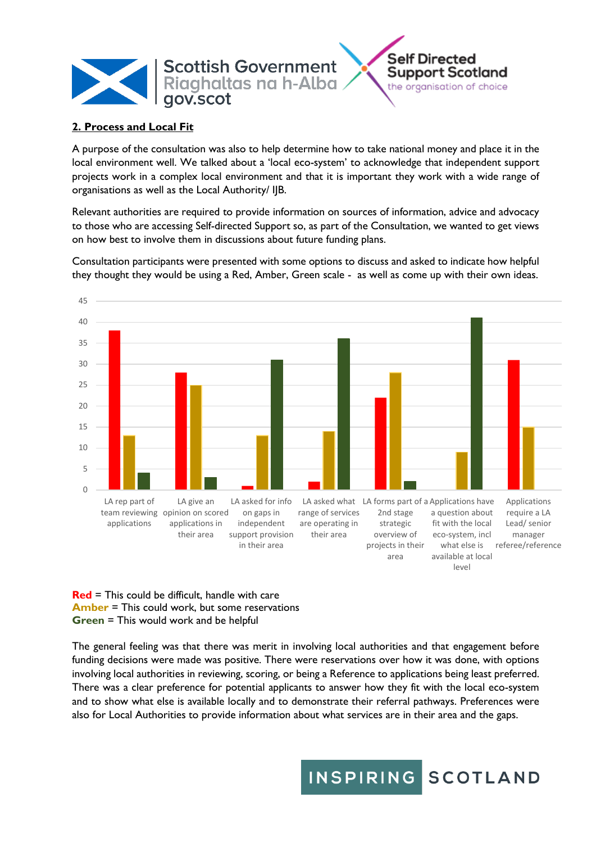

## **2. Process and Local Fit**

A purpose of the consultation was also to help determine how to take national money and place it in the local environment well. We talked about a 'local eco-system' to acknowledge that independent support projects work in a complex local environment and that it is important they work with a wide range of organisations as well as the Local Authority/ IJB.

Relevant authorities are required to provide information on sources of information, advice and advocacy to those who are accessing Self-directed Support so, as part of the Consultation, we wanted to get views on how best to involve them in discussions about future funding plans.



Consultation participants were presented with some options to discuss and asked to indicate how helpful they thought they would be using a Red, Amber, Green scale - as well as come up with their own ideas.

**Red** = This could be difficult, handle with care **Amber** = This could work, but some reservations **Green** = This would work and be helpful

The general feeling was that there was merit in involving local authorities and that engagement before funding decisions were made was positive. There were reservations over how it was done, with options involving local authorities in reviewing, scoring, or being a Reference to applications being least preferred. There was a clear preference for potential applicants to answer how they fit with the local eco-system and to show what else is available locally and to demonstrate their referral pathways. Preferences were also for Local Authorities to provide information about what services are in their area and the gaps.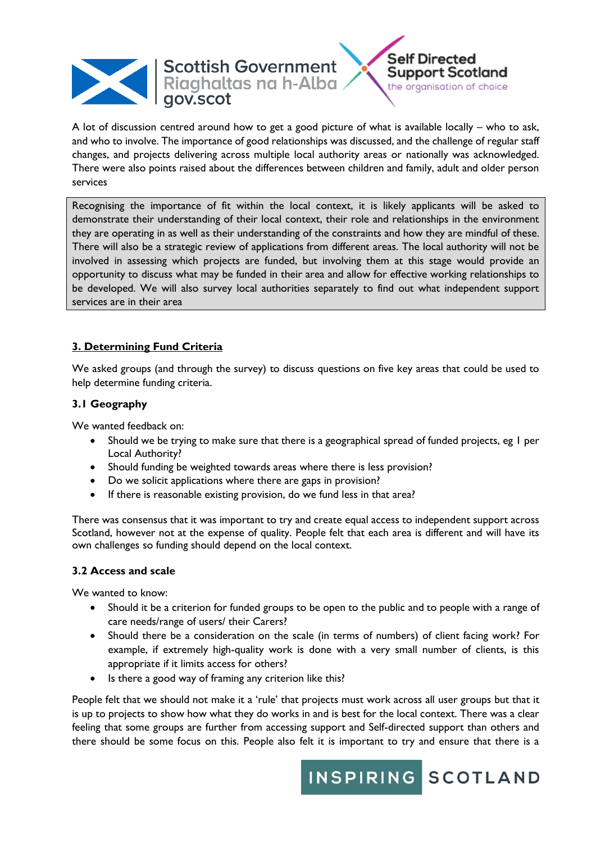



A lot of discussion centred around how to get a good picture of what is available locally – who to ask, and who to involve. The importance of good relationships was discussed, and the challenge of regular staff changes, and projects delivering across multiple local authority areas or nationally was acknowledged. There were also points raised about the differences between children and family, adult and older person services

Recognising the importance of fit within the local context, it is likely applicants will be asked to demonstrate their understanding of their local context, their role and relationships in the environment they are operating in as well as their understanding of the constraints and how they are mindful of these. There will also be a strategic review of applications from different areas. The local authority will not be involved in assessing which projects are funded, but involving them at this stage would provide an opportunity to discuss what may be funded in their area and allow for effective working relationships to be developed. We will also survey local authorities separately to find out what independent support services are in their area

## **3. Determining Fund Criteria**

We asked groups (and through the survey) to discuss questions on five key areas that could be used to help determine funding criteria.

### **3.1 Geography**

We wanted feedback on:

- Should we be trying to make sure that there is a geographical spread of funded projects, eg 1 per Local Authority?
- Should funding be weighted towards areas where there is less provision?
- Do we solicit applications where there are gaps in provision?
- If there is reasonable existing provision, do we fund less in that area?

There was consensus that it was important to try and create equal access to independent support across Scotland, however not at the expense of quality. People felt that each area is different and will have its own challenges so funding should depend on the local context.

#### **3.2 Access and scale**

We wanted to know:

- Should it be a criterion for funded groups to be open to the public and to people with a range of care needs/range of users/ their Carers?
- Should there be a consideration on the scale (in terms of numbers) of client facing work? For example, if extremely high-quality work is done with a very small number of clients, is this appropriate if it limits access for others?
- Is there a good way of framing any criterion like this?

People felt that we should not make it a 'rule' that projects must work across all user groups but that it is up to projects to show how what they do works in and is best for the local context. There was a clear feeling that some groups are further from accessing support and Self-directed support than others and there should be some focus on this. People also felt it is important to try and ensure that there is a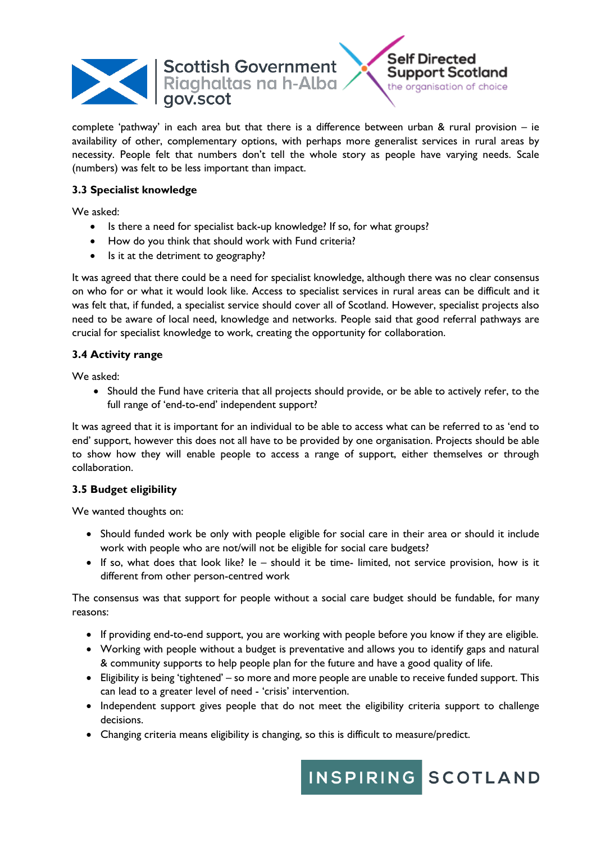



complete 'pathway' in each area but that there is a difference between urban & rural provision – ie availability of other, complementary options, with perhaps more generalist services in rural areas by necessity. People felt that numbers don't tell the whole story as people have varying needs. Scale (numbers) was felt to be less important than impact.

## **3.3 Specialist knowledge**

We asked:

- Is there a need for specialist back-up knowledge? If so, for what groups?
- How do you think that should work with Fund criteria?
- Is it at the detriment to geography?

It was agreed that there could be a need for specialist knowledge, although there was no clear consensus on who for or what it would look like. Access to specialist services in rural areas can be difficult and it was felt that, if funded, a specialist service should cover all of Scotland. However, specialist projects also need to be aware of local need, knowledge and networks. People said that good referral pathways are crucial for specialist knowledge to work, creating the opportunity for collaboration.

## **3.4 Activity range**

We asked:

• Should the Fund have criteria that all projects should provide, or be able to actively refer, to the full range of 'end-to-end' independent support?

It was agreed that it is important for an individual to be able to access what can be referred to as 'end to end' support, however this does not all have to be provided by one organisation. Projects should be able to show how they will enable people to access a range of support, either themselves or through collaboration.

### **3.5 Budget eligibility**

We wanted thoughts on:

- Should funded work be only with people eligible for social care in their area or should it include work with people who are not/will not be eligible for social care budgets?
- If so, what does that look like? Ie should it be time- limited, not service provision, how is it different from other person-centred work

The consensus was that support for people without a social care budget should be fundable, for many reasons:

- If providing end-to-end support, you are working with people before you know if they are eligible.
- Working with people without a budget is preventative and allows you to identify gaps and natural & community supports to help people plan for the future and have a good quality of life.
- Eligibility is being 'tightened' so more and more people are unable to receive funded support. This can lead to a greater level of need - 'crisis' intervention.
- Independent support gives people that do not meet the eligibility criteria support to challenge decisions.
- Changing criteria means eligibility is changing, so this is difficult to measure/predict.